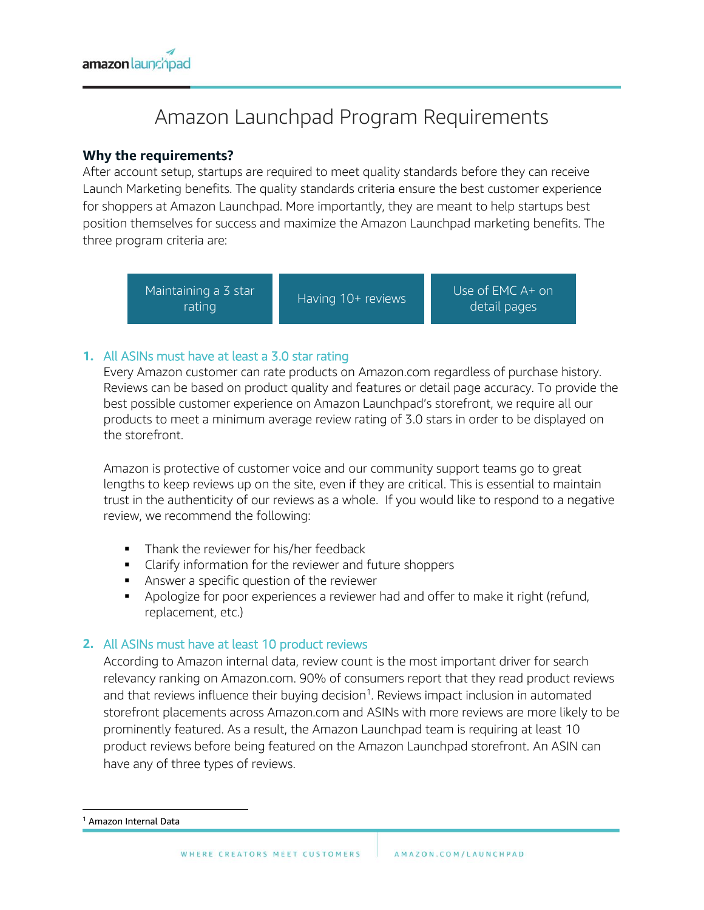

# Amazon Launchpad Program Requirements

## **Why the requirements?**

After account setup, startups are required to meet quality standards before they can receive Launch Marketing benefits. The quality standards criteria ensure the best customer experience for shoppers at Amazon Launchpad. More importantly, they are meant to help startups best position themselves for success and maximize the Amazon Launchpad marketing benefits. The three program criteria are:



## **1.** All ASINs must have at least a 3.0 star rating

Every Amazon customer can rate products on Amazon.com regardless of purchase history. Reviews can be based on product quality and features or detail page accuracy. To provide the best possible customer experience on Amazon Launchpad's storefront, we require all our products to meet a minimum average review rating of 3.0 stars in order to be displayed on the storefront.

Amazon is protective of customer voice and our community support teams go to great lengths to keep reviews up on the site, even if they are critical. This is essential to maintain trust in the authenticity of our reviews as a whole. If you would like to respond to a negative review, we recommend the following:

- **Thank the reviewer for his/her feedback**
- **Clarify information for the reviewer and future shoppers**
- **Answer a specific question of the reviewer**
- Apologize for poor experiences a reviewer had and offer to make it right (refund, replacement, etc.)

## **2.** All ASINs must have at least 10 product reviews

According to Amazon internal data, review count is the most important driver for search relevancy ranking on Amazon.com. 90% of consumers report that they read product reviews and that reviews influence their buying decision<sup>1</sup>. Reviews impact inclusion in automated storefront placements across Amazon.com and ASINs with more reviews are more likely to be prominently featured. As a result, the Amazon Launchpad team is requiring at least 10 product reviews before being featured on the Amazon Launchpad storefront. An ASIN can have any of three types of reviews.

 $\overline{\phantom{a}}$ 

<sup>1</sup> Amazon Internal Data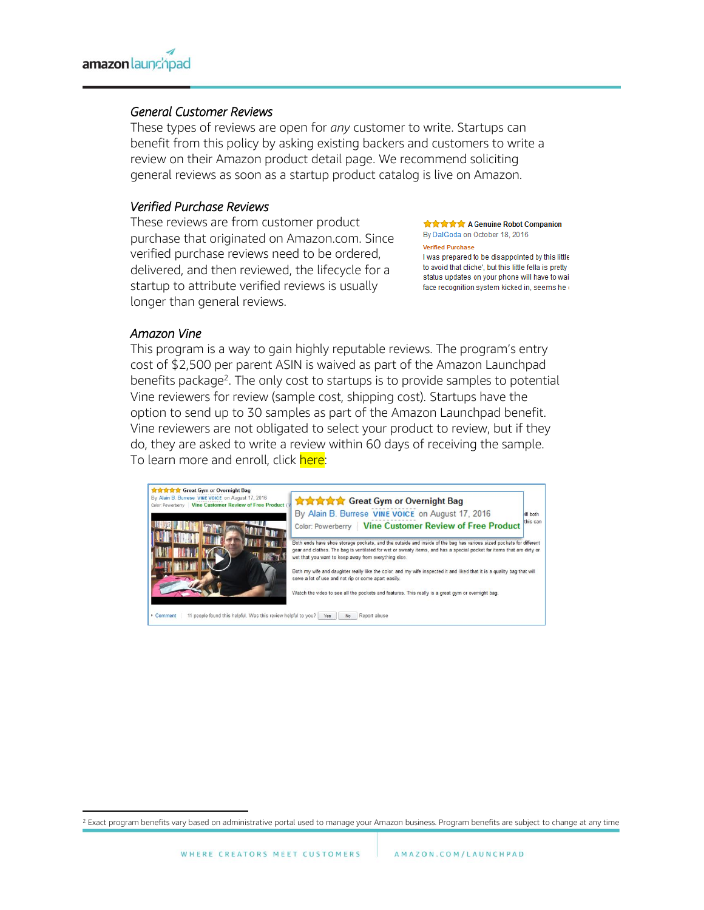#### *General Customer Reviews*

These types of reviews are open for *any* customer to write. Startups can benefit from this policy by asking existing backers and customers to write a review on their Amazon product detail page. We recommend soliciting general reviews as soon as a startup product catalog is live on Amazon.

#### *Verified Purchase Reviews*

These reviews are from customer product purchase that originated on Amazon.com. Since verified purchase reviews need to be ordered, delivered, and then reviewed, the lifecycle for a startup to attribute verified reviews is usually longer than general reviews.

**食食食食** A Genuine Robot Companion By DalGoda on October 18, 2016

**Verified Purchase** 

I was prepared to be disappointed by this little to avoid that cliche', but this little fella is pretty status updates on your phone will have to wai face recognition system kicked in, seems he o

#### *Amazon Vine*

This program is a way to gain highly reputable reviews. The program's entry cost of \$2,500 per parent ASIN is waived as part of the Amazon Launchpad benefits package<sup>2</sup>. The only cost to startups is to provide samples to potential Vine reviewers for review (sample cost, shipping cost). Startups have the option to send up to 30 samples as part of the Amazon Launchpad benefit. Vine reviewers are not obligated to select your product to review, but if they do, they are asked to write a review within 60 days of receiving the sample. To learn more and enroll, click here:



 $\overline{a}$ <sup>2</sup> Exact program benefits vary based on administrative portal used to manage your Amazon business. Program benefits are subject to change at any time